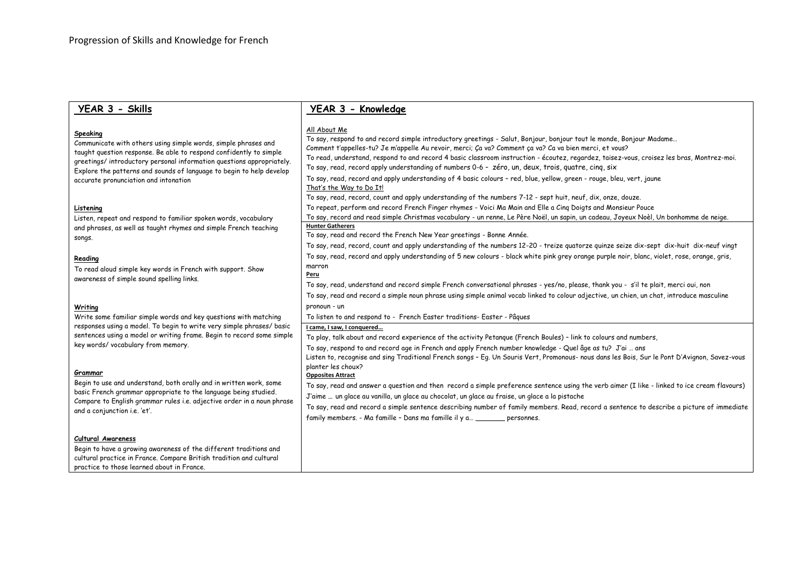# **YEAR 3 - Skills**

# **YEAR 3 - Knowledge**

## All About Me

| Speaking<br>Communicate with others using simple words, simple phrases and<br>taught question response. Be able to respond confidently to simple<br>greetings/introductory personal information questions appropriately.<br>Explore the patterns and sounds of language to begin to help develop<br>accurate pronunciation and intonation | <b><i>FULL FIDULI INC</i></b><br>To say, respond to and record simple introductory greetings - Salut, Bonjour, bonjour tout le monde, Bonjour Madame<br>Comment t'appelles-tu? Je m'appelle Au revoir, merci; Ça va? Comment ça va? Ca va bien merci, et vous?<br>To read, understand, respond to and record 4 basic classroom instruction - écoutez, regardez, taisez-vous, croisez les bras, Montrez-moi.<br>To say, read, record apply understanding of numbers 0-6 - zéro, un, deux, trois, quatre, cing, six<br>To say, read, record and apply understanding of 4 basic colours - red, blue, yellow, green - rouge, bleu, vert, jaune<br>That's the Way to Do It!<br>To say, read, record, count and apply understanding of the numbers 7-12 - sept huit, neuf, dix, onze, douze. |
|-------------------------------------------------------------------------------------------------------------------------------------------------------------------------------------------------------------------------------------------------------------------------------------------------------------------------------------------|----------------------------------------------------------------------------------------------------------------------------------------------------------------------------------------------------------------------------------------------------------------------------------------------------------------------------------------------------------------------------------------------------------------------------------------------------------------------------------------------------------------------------------------------------------------------------------------------------------------------------------------------------------------------------------------------------------------------------------------------------------------------------------------|
| Listening<br>Listen, repeat and respond to familiar spoken words, vocabulary                                                                                                                                                                                                                                                              | To repeat, perform and record French Finger rhymes - Voici Ma Main and Elle a Cing Doigts and Monsieur Pouce<br>To say, record and read simple Christmas vocabulary - un renne, Le Père Noël, un sapin, un cadeau, Joyeux Noèl, Un bonhomme de neige.                                                                                                                                                                                                                                                                                                                                                                                                                                                                                                                                  |
| and phrases, as well as taught rhymes and simple French teaching                                                                                                                                                                                                                                                                          | <b>Hunter Gatherers</b>                                                                                                                                                                                                                                                                                                                                                                                                                                                                                                                                                                                                                                                                                                                                                                |
| songs.                                                                                                                                                                                                                                                                                                                                    | To say, read and record the French New Year greetings - Bonne Année.                                                                                                                                                                                                                                                                                                                                                                                                                                                                                                                                                                                                                                                                                                                   |
|                                                                                                                                                                                                                                                                                                                                           | To say, read, record, count and apply understanding of the numbers 12-20 - treize quatorze quinze seize dix-sept dix-huit dix-neuf vingt                                                                                                                                                                                                                                                                                                                                                                                                                                                                                                                                                                                                                                               |
| Reading                                                                                                                                                                                                                                                                                                                                   | To say, read, record and apply understanding of 5 new colours - black white pink grey orange purple noir, blanc, violet, rose, orange, gris,                                                                                                                                                                                                                                                                                                                                                                                                                                                                                                                                                                                                                                           |
| To read aloud simple key words in French with support. Show                                                                                                                                                                                                                                                                               | marron<br>Peru                                                                                                                                                                                                                                                                                                                                                                                                                                                                                                                                                                                                                                                                                                                                                                         |
| awareness of simple sound spelling links.                                                                                                                                                                                                                                                                                                 | To say, read, understand and record simple French conversational phrases - yes/no, please, thank you - s'il te plait, merci oui, non                                                                                                                                                                                                                                                                                                                                                                                                                                                                                                                                                                                                                                                   |
|                                                                                                                                                                                                                                                                                                                                           | To say, read and record a simple noun phrase using simple animal vocab linked to colour adjective, un chien, un chat, introduce masculine                                                                                                                                                                                                                                                                                                                                                                                                                                                                                                                                                                                                                                              |
| Writing                                                                                                                                                                                                                                                                                                                                   | pronoun - un                                                                                                                                                                                                                                                                                                                                                                                                                                                                                                                                                                                                                                                                                                                                                                           |
| Write some familiar simple words and key questions with matching                                                                                                                                                                                                                                                                          | To listen to and respond to - French Easter traditions- Easter - Pâques                                                                                                                                                                                                                                                                                                                                                                                                                                                                                                                                                                                                                                                                                                                |
| responses using a model. To begin to write very simple phrases/ basic                                                                                                                                                                                                                                                                     | I came. I saw. I conquered                                                                                                                                                                                                                                                                                                                                                                                                                                                                                                                                                                                                                                                                                                                                                             |
| sentences using a model or writing frame. Begin to record some simple                                                                                                                                                                                                                                                                     | To play, talk about and record experience of the activity Petangue (French Boules) - link to colours and numbers,                                                                                                                                                                                                                                                                                                                                                                                                                                                                                                                                                                                                                                                                      |
| key words/vocabulary from memory.                                                                                                                                                                                                                                                                                                         | To say, respond to and record age in French and apply French number knowledge - Quel âge as tu? J'ai  ans                                                                                                                                                                                                                                                                                                                                                                                                                                                                                                                                                                                                                                                                              |
|                                                                                                                                                                                                                                                                                                                                           | Listen to, recognise and sing Traditional French songs - Eg. Un Souris Vert, Promonous- nous dans les Bois, Sur le Pont D'Avignon, Savez-vous                                                                                                                                                                                                                                                                                                                                                                                                                                                                                                                                                                                                                                          |
| Grammar                                                                                                                                                                                                                                                                                                                                   | planter les choux?<br><b>Opposites Attract</b>                                                                                                                                                                                                                                                                                                                                                                                                                                                                                                                                                                                                                                                                                                                                         |
| Begin to use and understand, both orally and in written work, some                                                                                                                                                                                                                                                                        | To say, read and answer a question and then record a simple preference sentence using the verb aimer (I like - linked to ice cream flavours)                                                                                                                                                                                                                                                                                                                                                                                                                                                                                                                                                                                                                                           |
| basic French grammar appropriate to the language being studied.                                                                                                                                                                                                                                                                           | J'aime  un glace au vanilla, un glace au chocolat, un glace au fraise, un glace a la pistache                                                                                                                                                                                                                                                                                                                                                                                                                                                                                                                                                                                                                                                                                          |
| Compare to English grammar rules i.e. adjective order in a noun phrase                                                                                                                                                                                                                                                                    | To say, read and record a simple sentence describing number of family members. Read, record a sentence to describe a picture of immediate                                                                                                                                                                                                                                                                                                                                                                                                                                                                                                                                                                                                                                              |
| and a conjunction i.e. 'et'.                                                                                                                                                                                                                                                                                                              | family members. - Ma famille - Dans ma famille il y a _________ personnes.                                                                                                                                                                                                                                                                                                                                                                                                                                                                                                                                                                                                                                                                                                             |
|                                                                                                                                                                                                                                                                                                                                           |                                                                                                                                                                                                                                                                                                                                                                                                                                                                                                                                                                                                                                                                                                                                                                                        |
| Cultural Awareness                                                                                                                                                                                                                                                                                                                        |                                                                                                                                                                                                                                                                                                                                                                                                                                                                                                                                                                                                                                                                                                                                                                                        |
| Begin to have a growing awareness of the different traditions and                                                                                                                                                                                                                                                                         |                                                                                                                                                                                                                                                                                                                                                                                                                                                                                                                                                                                                                                                                                                                                                                                        |
| cultural practice in France. Compare British tradition and cultural                                                                                                                                                                                                                                                                       |                                                                                                                                                                                                                                                                                                                                                                                                                                                                                                                                                                                                                                                                                                                                                                                        |
| practice to those learned about in France.                                                                                                                                                                                                                                                                                                |                                                                                                                                                                                                                                                                                                                                                                                                                                                                                                                                                                                                                                                                                                                                                                                        |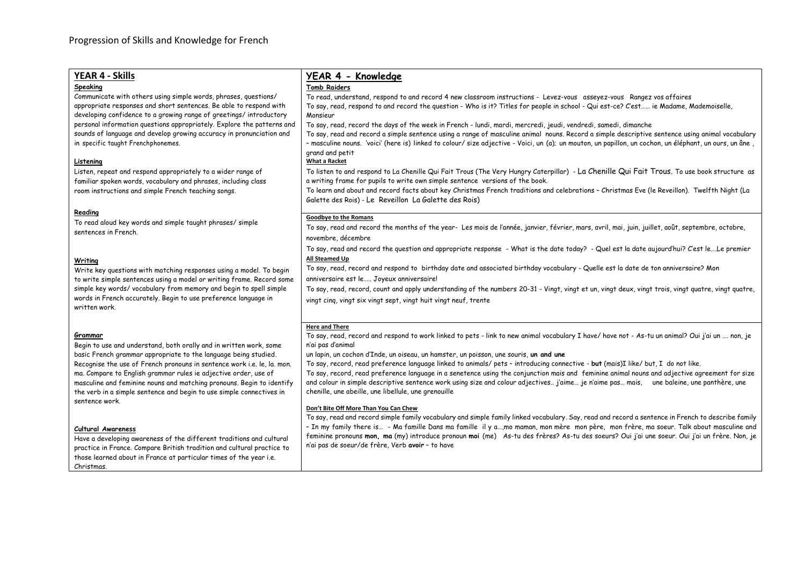| YEAR 4 - Skills<br>Speaking<br>Communicate with others using simple words, phrases, questions/<br>appropriate responses and short sentences. Be able to respond with<br>developing confidence to a growing range of greetings/introductory<br>personal information questions appropriately. Explore the patterns and<br>sounds of language and develop growing accuracy in pronunciation and<br>in specific taught Frenchphonemes.<br>Listening                   | YEAR 4 - Knowledge<br><b>Tomb Raiders</b><br>To read, understand, respond to and record 4 new classroom instructions - Levez-vous asseyez-vous Rangez vos affaires<br>To say, read, respond to and record the question - Who is it? Titles for people in school - Qui est-ce? C'est  ie Madame, Mademoiselle,<br>Monsieur<br>To say, read, record the days of the week in French - lundi, mardi, mercredi, jeudi, vendredi, samedi, dimanche<br>To say, read and record a simple sentence using a range of masculine animal nouns. Record a simple descriptive sentence using animal vocabulary<br>- masculine nouns. 'voici' (here is) linked to colour/ size adjective - Voici, un (a); un mouton, un papillon, un cochon, un éléphant, un ours, un âne,<br>grand and petit<br>What a Racket |
|-------------------------------------------------------------------------------------------------------------------------------------------------------------------------------------------------------------------------------------------------------------------------------------------------------------------------------------------------------------------------------------------------------------------------------------------------------------------|------------------------------------------------------------------------------------------------------------------------------------------------------------------------------------------------------------------------------------------------------------------------------------------------------------------------------------------------------------------------------------------------------------------------------------------------------------------------------------------------------------------------------------------------------------------------------------------------------------------------------------------------------------------------------------------------------------------------------------------------------------------------------------------------|
| Listen, repeat and respond appropriately to a wider range of<br>familiar spoken words, vocabulary and phrases, including class<br>room instructions and simple French teaching songs.                                                                                                                                                                                                                                                                             | To listen to and respond to La Chenille Qui Fait Trous (The Very Hungry Caterpillar) - La Chenille Qui Fait Trous. To use book structure as<br>a writing frame for pupils to write own simple sentence versions of the book.<br>To learn and about and record facts about key Christmas French traditions and celebrations - Christmas Eve (le Reveillon). Twelfth Night (La<br>Galette des Rois) - Le Reveillon La Galette des Rois)                                                                                                                                                                                                                                                                                                                                                          |
| Reading<br>To read aloud key words and simple taught phrases/ simple<br>sentences in French.                                                                                                                                                                                                                                                                                                                                                                      | <b>Goodbye to the Romans</b><br>To say, read and record the months of the year- Les mois de l'année, janvier, février, mars, avril, mai, juin, juillet, août, septembre, octobre,<br>novembre, décembre<br>To say, read and record the question and appropriate response - What is the date today? - Quel est la date aujourd'hui? C'est leLe premier                                                                                                                                                                                                                                                                                                                                                                                                                                          |
| Writing<br>Write key questions with matching responses using a model. To begin<br>to write simple sentences using a model or writing frame. Record some<br>simple key words/vocabulary from memory and begin to spell simple<br>words in French accurately. Begin to use preference language in<br>written work.                                                                                                                                                  | All Steamed Up<br>To say, read, record and respond to birthday date and associated birthday vocabulary - Quelle est la date de ton anniversaire? Mon<br>anniversaire est le Joyeux anniversaire!<br>To say, read, record, count and apply understanding of the numbers 20-31 - Vingt, vingt et un, vingt deux, vingt trois, vingt quatre, vingt quatre,<br>vingt cinq, vingt six vingt sept, vingt huit vingt neuf, trente                                                                                                                                                                                                                                                                                                                                                                     |
| Grammar<br>Begin to use and understand, both orally and in written work, some<br>basic French grammar appropriate to the language being studied.<br>Recognise the use of French pronouns in sentence work i.e. le, la. mon.<br>ma. Compare to English grammar rules ie adjective order, use of<br>masculine and feminine nouns and matching pronouns. Begin to identify<br>the verb in a simple sentence and begin to use simple connectives in<br>sentence work. | <b>Here and There</b><br>To say, read, record and respond to work linked to pets - link to new animal vocabulary I have/ have not - As-tu un animal? Oui j'ai un  non, je<br>n'ai pas d'animal<br>un lapin, un cochon d'Inde, un oiseau, un hamster, un poisson, une souris, un and une<br>To say, record, read preference language linked to animals/ pets - introducing connective - but (mais)I like/ but, I do not like.<br>To say, record, read preference language in a senetence using the conjunction mais and feminine animal nouns and adjective agreement for size<br>and colour in simple descriptive sentence work using size and colour adjectives j'aime je n'aime pas mais, une baleine, une panthère, une<br>chenille, une abeille, une libellule, une grenouille             |
| Cultural Awareness<br>Have a developing awareness of the different traditions and cultural<br>practice in France. Compare British tradition and cultural practice to<br>those learned about in France at particular times of the year i.e.<br>Christmas.                                                                                                                                                                                                          | Don't Bite Off More Than You Can Chew<br>To say, read and record simple family vocabulary and simple family linked vocabulary. Say, read and record a sentence in French to describe family<br>- In my family there is - Ma famille Dans ma famille il y a,mo maman, mon mère mon père, mon frère, ma soeur. Talk about masculine and<br>feminine pronouns mon, ma (my) introduce pronoun moi (me) As-tu des frères? As-tu des soeurs? Oui j'ai une soeur. Oui j'ai un frère. Non, je<br>n'ai pas de soeur/de frère, Verb avoir - to have                                                                                                                                                                                                                                                      |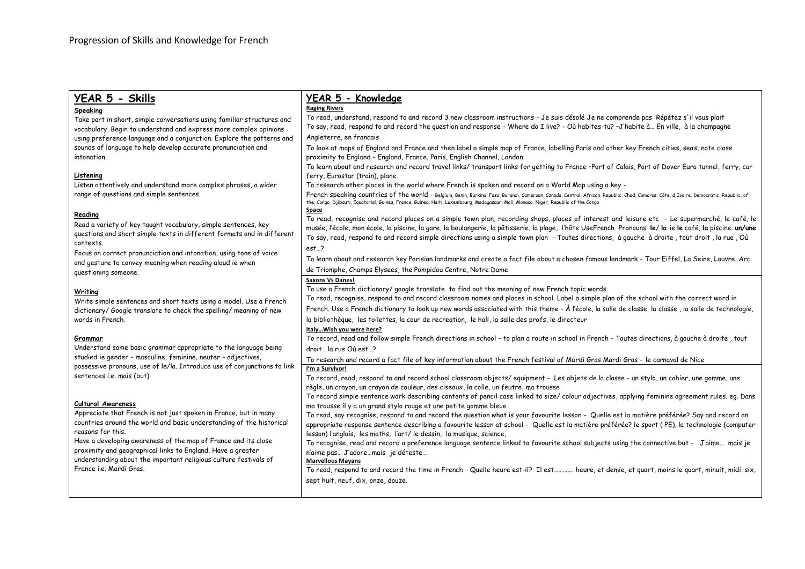#### **Speaking**

Take part in short, simple conversations using familiar structures and vocabulary. Begin to understand and express more complex opinions using preference language and a conjunction. Explore the patterns and sounds of language to help develop accurate pronunciation and intonation

## **Listening**

Listen attentively and understand more complex phrases, a wider range of questions and simple sentences.

## **Reading**

Read a variety of key taught vocabulary, simple sentences, key questions and short simple texts in different formats and in different contexts.

Focus on correct pronunciation and intonation, using tone of voice and gesture to convey meaning when reading aloud ie when questioning someone.

## **Writing**

Write simple sentences and short texts using a model. Use a French dictionary/ Google translate to check the spelling/ meaning of new words in French.

## **Grammar**

Understand some basic grammar appropriate to the language being studied ie gender – masculine, feminine, neuter – adjectives, possessive pronouns, use of le/la. Introduce use of conjunctions to link sentences i.e. mais (but)

## **Cultural Awareness**

Appreciate that French is not just spoken in France, but in many countries around the world and basic understanding of the historical reasons for this.

Have a developing awareness of the map of France and its close proximity and geographical links to England. Have a greater understanding about the important religious culture festivals of France i.e. Mardi Gras.

## **YEAR 5 - Knowledge**

## **Raging Rivers**

To read, understand, respond to and record 3 new classroom instructions - Je suis désolé Je ne comprende pas Répétez s'il vous plait To say, read, respond to and record the question and response - Where do I live? - Où habites-tu? –J'habite à… En ville, à la champagne Angleterre, en francais

To look at maps of England and France and then label a simple map of France, labelling Paris and other key French cities, seas, note close proximity to England – England, France, Paris, English Channel, London

To learn about and research and record travel links/ transport links for getting to France –Port of Calais, Port of Dover Euro tunnel, ferry, car ferry, Eurostar (train), plane.

To research other places in the world where French is spoken and record on a World Map using a key -

French speaking countries of the world - Belgium, Benin, Burkina, Faso, Burundi, Cameroon, Canada, Central, African, Republic, Chad, Comoros, Côte, d'Ivoire, Democratic, Republic, of, the, Congo, Djibouti, Equatorial, Guinea, France, Guinea, Haiti, Luxembourg, Madagascar, Mali, Monaco, Niger, Republic of the Congo

## **Space**

To read, recognise and record places on a simple town plan, recording shops, places of interest and leisure etc - Le supermarché, le café, le musée, l'école, mon école, la piscine, la gare, la boulangerie, la pâtisserie, la plage, l'hôte UseFrench Pronouns **le**/ **la** ie **le** café, **la** piscine. **un/une**  To say, read, respond to and record simple directions using a simple town plan - Toutes directions, à gauche à droite , tout droit , la rue , Où

## est…?

To learn about and research key Parisian landmarks and create a fact file about a chosen famous landmark - Tour Eiffel, La Seine, Louvre, Arc de Triomphe, Champs Elysees, the Pompidou Centre, Notre Dame

#### **Saxons Vs Danes!**

To use a French dictionary/ google translate to find out the meaning of new French topic words

To read, recognise, respond to and record classroom names and places in school. Label a simple plan of the school with the correct word in

French. Use a French dictionary to look up new words associated with this theme - À l'école, la salle de classe la classe , la salle de technologie,

la bibliothèque, les toilettes, la cour de recreation, le hall, la salle des profs, le directeur

## **Italy…Wish you were here?**

To record, read and follow simple French directions in school – to plan a route in school in French - Toutes directions, à gauche à droite , tout droit , la rue Où est…?

To research and record a fact file of key information about the French festival of Mardi Gras Mardi Gras - le carnaval de Nice **I'm a Survivor!**

To record, read, respond to and record school classroom objects/ equipment - Les objets de la classe - un stylo, un cahier, une gomme, une règle, un crayon, un crayon de couleur, des ciseaux, la colle, un feutre, ma trousse

To record simple sentence work describing contents of pencil case linked to size/ colour adjectives, applying feminine agreement rules. eg. Dans ma trousse il y a un grand stylo rouge et une petite gomme bleue

To read, say recognise, respond to and record the question what is your favourite lesson - Quelle est la matière préférée? Say and record an appropriate response sentence describing a favourite lesson at school - Quelle est la matière préférée? le sport ( PE), la technologie (computer lesson) l'anglais, les maths, l'art/ le dessin, la musique, science,

To recognise, read and record a preference language sentence linked to favourite school subjects using the connective but - J'aime… mais je n'aime pas… J'adore…mais je déteste…

## **Marvellous Mayans**

To read, respond to and record the time in French - Quelle heure est-il? Il est…………. heure, et demie, et quart, moins le quart, minuit, midi. six, sept huit, neuf, dix, onze, douze.